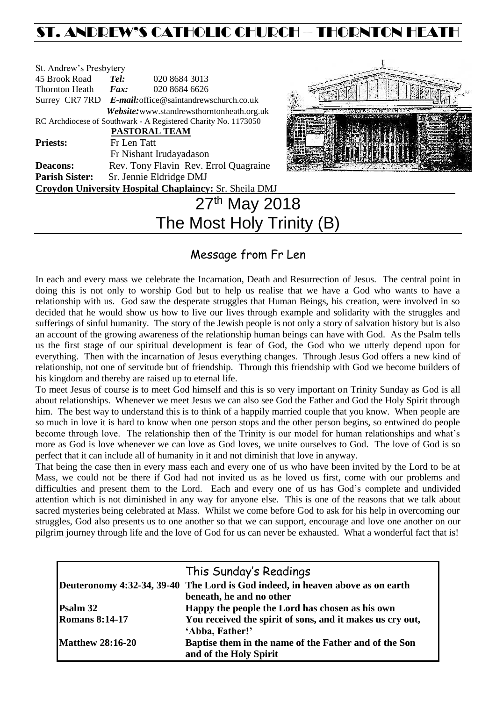# ST. ANDREW'S CATHOLIC CHURCH – THORNTON HEATH

| St. Andrew's Presbytery   |                                                                |  |  |  |  |
|---------------------------|----------------------------------------------------------------|--|--|--|--|
| 45 Brook Road             | Tel:<br>020 8684 3013                                          |  |  |  |  |
| <b>Thornton Heath</b>     | 020 8684 6626<br>Fax:                                          |  |  |  |  |
|                           | Surrey CR7 7RD E-mail: office@saintandrewschurch.co.uk         |  |  |  |  |
|                           | Website: www.standrewsthorntonheath.org.uk                     |  |  |  |  |
|                           | RC Archdiocese of Southwark - A Registered Charity No. 1173050 |  |  |  |  |
|                           | <b>PASTORAL TEAM</b>                                           |  |  |  |  |
| <b>Priests:</b>           | Fr Len Tatt                                                    |  |  |  |  |
|                           | Fr Nishant Irudayadason                                        |  |  |  |  |
| <b>Deacons:</b>           | Rev. Tony Flavin Rev. Errol Quagraine                          |  |  |  |  |
| <b>Parish Sister:</b>     | Sr. Jennie Eldridge DMJ                                        |  |  |  |  |
|                           | Croydon University Hospital Chaplaincy: Sr. Sheila DMJ         |  |  |  |  |
|                           | 27th May 2018                                                  |  |  |  |  |
| The Most Holy Trinity (B) |                                                                |  |  |  |  |



## Message from Fr Len

In each and every mass we celebrate the Incarnation, Death and Resurrection of Jesus. The central point in doing this is not only to worship God but to help us realise that we have a God who wants to have a relationship with us. God saw the desperate struggles that Human Beings, his creation, were involved in so decided that he would show us how to live our lives through example and solidarity with the struggles and sufferings of sinful humanity. The story of the Jewish people is not only a story of salvation history but is also an account of the growing awareness of the relationship human beings can have with God. As the Psalm tells us the first stage of our spiritual development is fear of God, the God who we utterly depend upon for everything. Then with the incarnation of Jesus everything changes. Through Jesus God offers a new kind of relationship, not one of servitude but of friendship. Through this friendship with God we become builders of his kingdom and thereby are raised up to eternal life.

To meet Jesus of course is to meet God himself and this is so very important on Trinity Sunday as God is all about relationships. Whenever we meet Jesus we can also see God the Father and God the Holy Spirit through him. The best way to understand this is to think of a happily married couple that you know. When people are so much in love it is hard to know when one person stops and the other person begins, so entwined do people become through love. The relationship then of the Trinity is our model for human relationships and what's more as God is love whenever we can love as God loves, we unite ourselves to God. The love of God is so perfect that it can include all of humanity in it and not diminish that love in anyway.

That being the case then in every mass each and every one of us who have been invited by the Lord to be at Mass, we could not be there if God had not invited us as he loved us first, come with our problems and difficulties and present them to the Lord. Each and every one of us has God's complete and undivided attention which is not diminished in any way for anyone else. This is one of the reasons that we talk about sacred mysteries being celebrated at Mass. Whilst we come before God to ask for his help in overcoming our struggles, God also presents us to one another so that we can support, encourage and love one another on our pilgrim journey through life and the love of God for us can never be exhausted. What a wonderful fact that is!

|                         | This Sunday's Readings                                                          |
|-------------------------|---------------------------------------------------------------------------------|
|                         | Deuteronomy 4:32-34, 39-40 The Lord is God indeed, in heaven above as on earth  |
|                         | beneath, he and no other                                                        |
| Psalm 32                | Happy the people the Lord has chosen as his own                                 |
| <b>Romans 8:14-17</b>   | You received the spirit of sons, and it makes us cry out,                       |
|                         | 'Abba, Father!'                                                                 |
| <b>Matthew 28:16-20</b> | Baptise them in the name of the Father and of the Son<br>and of the Holy Spirit |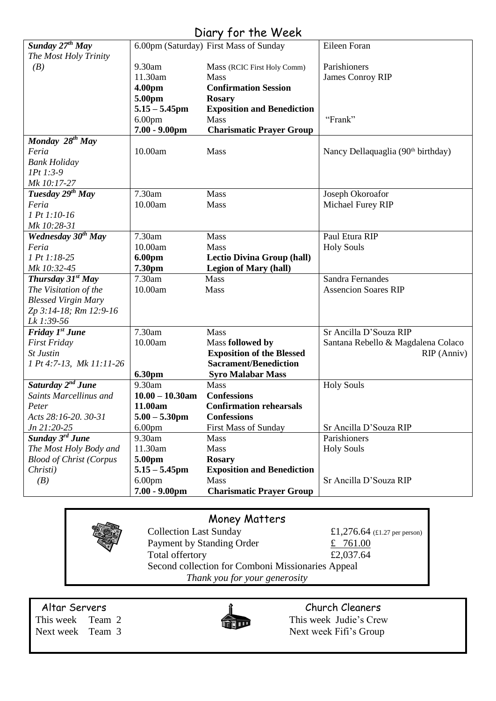## Diary for the Week

|                                |                    | $5.4$ , $1.5$ , $1.1$ , $1.1$          |                                                |
|--------------------------------|--------------------|----------------------------------------|------------------------------------------------|
| Sunday 27 <sup>th</sup> May    |                    | 6.00pm (Saturday) First Mass of Sunday | Eileen Foran                                   |
| The Most Holy Trinity          |                    |                                        |                                                |
| (B)                            | 9.30am             | Mass (RCIC First Holy Comm)            | Parishioners                                   |
|                                | 11.30am            | <b>Mass</b>                            | <b>James Conroy RIP</b>                        |
|                                | 4.00pm             | <b>Confirmation Session</b>            |                                                |
|                                | 5.00pm             | <b>Rosary</b>                          |                                                |
|                                | $5.15 - 5.45$ pm   | <b>Exposition and Benediction</b>      |                                                |
|                                | 6.00 <sub>pm</sub> | Mass                                   | "Frank"                                        |
|                                | $7.00 - 9.00$ pm   | <b>Charismatic Prayer Group</b>        |                                                |
| Monday $28^{th}$ May           |                    |                                        |                                                |
| Feria                          | 10.00am            | Mass                                   | Nancy Dellaquaglia (90 <sup>th</sup> birthday) |
| <b>Bank Holiday</b>            |                    |                                        |                                                |
| $1Pt 1:3-9$                    |                    |                                        |                                                |
| Mk 10:17-27                    |                    |                                        |                                                |
| Tuesday 29 <sup>th</sup> May   | 7.30am             | Mass                                   | Joseph Okoroafor                               |
| Feria                          | 10.00am            | Mass                                   | Michael Furey RIP                              |
| 1 Pt 1:10-16                   |                    |                                        |                                                |
| Mk 10:28-31                    |                    |                                        |                                                |
| Wednesday 30 <sup>th</sup> May | 7.30am             | <b>Mass</b>                            | Paul Etura RIP                                 |
| Feria                          | 10.00am            | Mass                                   | <b>Holy Souls</b>                              |
| 1 Pt 1:18-25                   | 6.00pm             | <b>Lectio Divina Group (hall)</b>      |                                                |
| Mk 10:32-45                    | 7.30pm             | <b>Legion of Mary (hall)</b>           |                                                |
| Thursday $31^{st}$ May         | 7.30am             | Mass                                   | Sandra Fernandes                               |
| The Visitation of the          | 10.00am            | Mass                                   | <b>Assencion Soares RIP</b>                    |
| <b>Blessed Virgin Mary</b>     |                    |                                        |                                                |
| Zp 3:14-18; Rm 12:9-16         |                    |                                        |                                                |
| Lk 1:39-56                     |                    |                                        |                                                |
| Friday 1 <sup>st</sup> June    | 7.30am             | Mass                                   | Sr Ancilla D'Souza RIP                         |
| <b>First Friday</b>            | 10.00am            | Mass followed by                       | Santana Rebello & Magdalena Colaco             |
| St Justin                      |                    | <b>Exposition of the Blessed</b>       | RIP (Anniv)                                    |
| 1 Pt 4:7-13, Mk 11:11-26       |                    | <b>Sacrament/Benediction</b>           |                                                |
|                                | <b>6.30pm</b>      | <b>Syro Malabar Mass</b>               |                                                |
| Saturday 2 <sup>nd</sup> June  | 9.30am             | Mass                                   | <b>Holy Souls</b>                              |
| Saints Marcellinus and         | $10.00 - 10.30$ am | <b>Confessions</b>                     |                                                |
| Peter                          | 11.00am            | <b>Confirmation rehearsals</b>         |                                                |
| Acts 28:16-20. 30-31           | $5.00 - 5.30$ pm   | <b>Confessions</b>                     |                                                |
| Jn 21:20-25                    | 6.00 <sub>pm</sub> | <b>First Mass of Sunday</b>            | Sr Ancilla D'Souza RIP                         |
| Sunday 3 <sup>rd</sup> June    | 9.30am             | Mass                                   | Parishioners                                   |
| The Most Holy Body and         | 11.30am            | Mass                                   | <b>Holy Souls</b>                              |
| <b>Blood of Christ (Corpus</b> | 5.00pm             | <b>Rosary</b>                          |                                                |
| Christi)                       | $5.15 - 5.45$ pm   | <b>Exposition and Benediction</b>      |                                                |
| (B)                            | 6.00 <sub>pm</sub> | Mass                                   | Sr Ancilla D'Souza RIP                         |
|                                | $7.00 - 9.00$ pm   | <b>Charismatic Prayer Group</b>        |                                                |
|                                |                    |                                        |                                                |

### Money Matters

Collection Last Sunday  $\text{£}1,276.64$  (£1.27 per person) Payment by Standing Order  $\frac{2}{10}$  761.00 Total offertory  $£2,037.64$ Second collection for Comboni Missionaries Appeal *Thank you for your generosity*

Altar Servers and the church Cleaners and the Church Cleaners



This week Team 2 This week Judie's Crew Next week Team 3 Next week Fifi's Group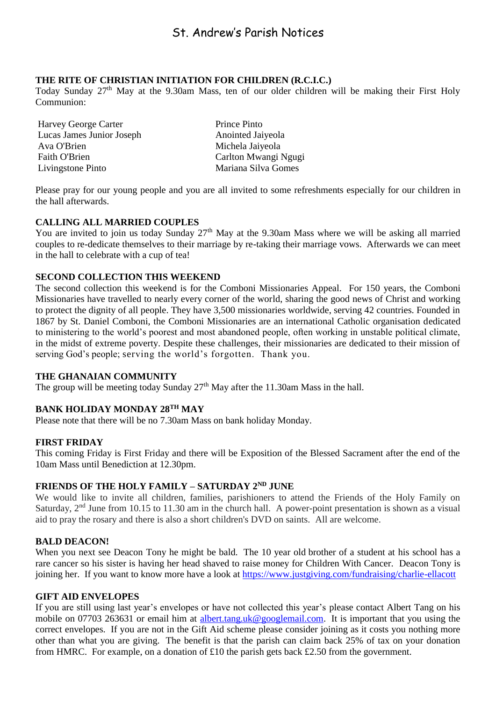#### **THE RITE OF CHRISTIAN INITIATION FOR CHILDREN (R.C.I.C.)**

Today Sunday 27<sup>th</sup> May at the 9.30am Mass, ten of our older children will be making their First Holy Communion:

Harvey George Carter Prince Pinto Lucas James Junior Joseph Anointed Jaiyeola Ava O'Brien Michela Jaiyeola Faith O'Brien Carlton Mwangi Ngugi Livingstone Pinto Mariana Silva Gomes

Please pray for our young people and you are all invited to some refreshments especially for our children in the hall afterwards.

#### **CALLING ALL MARRIED COUPLES**

You are invited to join us today Sunday  $27<sup>th</sup>$  May at the 9.30am Mass where we will be asking all married couples to re-dedicate themselves to their marriage by re-taking their marriage vows. Afterwards we can meet in the hall to celebrate with a cup of tea!

#### **SECOND COLLECTION THIS WEEKEND**

The second collection this weekend is for the Comboni Missionaries Appeal. For 150 years, the Comboni Missionaries have travelled to nearly every corner of the world, sharing the good news of Christ and working to protect the dignity of all people. They have 3,500 missionaries worldwide, serving 42 countries. Founded in 1867 by St. Daniel Comboni, the Comboni Missionaries are an international Catholic organisation dedicated to ministering to the world's poorest and most abandoned people, often working in unstable political climate, in the midst of extreme poverty. Despite these challenges, their missionaries are dedicated to their mission of serving God's people; serving the world's forgotten. Thank you.

#### **THE GHANAIAN COMMUNITY**

The group will be meeting today Sunday  $27<sup>th</sup>$  May after the 11.30am Mass in the hall.

### **BANK HOLIDAY MONDAY 28TH MAY**

Please note that there will be no 7.30am Mass on bank holiday Monday.

#### **FIRST FRIDAY**

This coming Friday is First Friday and there will be Exposition of the Blessed Sacrament after the end of the 10am Mass until Benediction at 12.30pm.

#### **FRIENDS OF THE HOLY FAMILY – SATURDAY 2ND JUNE**

We would like to invite all children, families, parishioners to attend the Friends of the Holy Family on Saturday, 2<sup>nd</sup> June from 10.15 to 11.30 am in the church hall. A power-point presentation is shown as a visual aid to pray the rosary and there is also a short children's DVD on saints. All are welcome.

#### **BALD DEACON!**

When you next see Deacon Tony he might be bald. The 10 year old brother of a student at his school has a rare cancer so his sister is having her head shaved to raise money for Children With Cancer. Deacon Tony is joining her. If you want to know more have a look at<https://www.justgiving.com/fundraising/charlie-ellacott>

#### **GIFT AID ENVELOPES**

If you are still using last year's envelopes or have not collected this year's please contact Albert Tang on his mobile on 07703 263631 or email him at [albert.tang.uk@googlemail.com.](mailto:albert.tang.uk@googlemail.com) It is important that you using the correct envelopes. If you are not in the Gift Aid scheme please consider joining as it costs you nothing more other than what you are giving. The benefit is that the parish can claim back 25% of tax on your donation from HMRC. For example, on a donation of £10 the parish gets back £2.50 from the government.